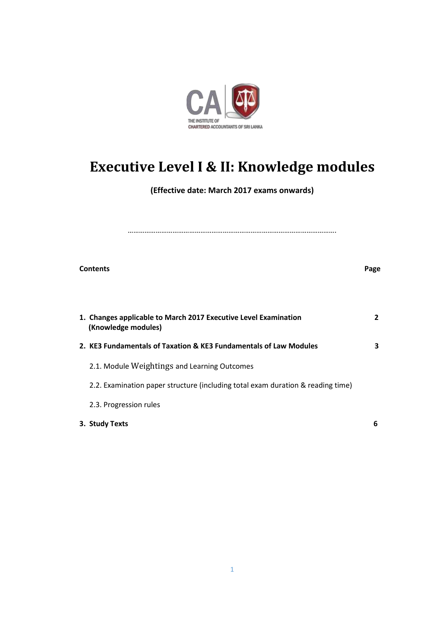

# **Executive Level I & II: Knowledge modules**

**(Effective date: March 2017 exams onwards)** 

| <b>Contents</b>                                                                        | Page           |
|----------------------------------------------------------------------------------------|----------------|
| 1. Changes applicable to March 2017 Executive Level Examination<br>(Knowledge modules) | $\overline{2}$ |
| 2. KE3 Fundamentals of Taxation & KE3 Fundamentals of Law Modules                      | 3              |
| 2.1. Module Weightings and Learning Outcomes                                           |                |
| 2.2. Examination paper structure (including total exam duration & reading time)        |                |
| 2.3. Progression rules                                                                 |                |
| 3. Study Texts                                                                         | 6              |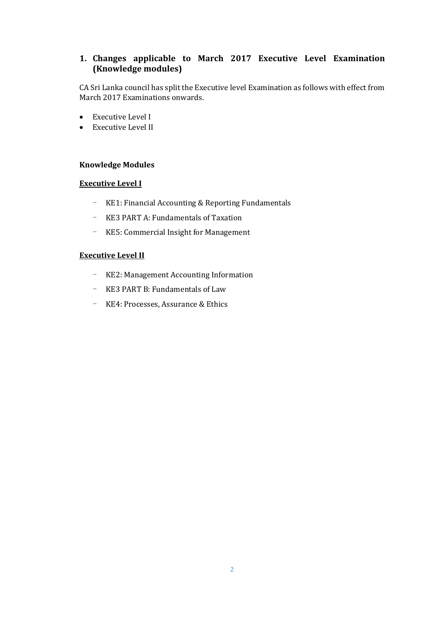### **1. Changes applicable to March 2017 Executive Level Examination (Knowledge modules)**

CA Sri Lanka council has split the Executive level Examination as follows with effect from March 2017 Examinations onwards.

- Executive Level I
- Executive Level II

#### **Knowledge Modules**

#### **Executive Level I**

- KE1: Financial Accounting & Reporting Fundamentals
- KE3 PART A: Fundamentals of Taxation
- KE5: Commercial Insight for Management

#### **Executive Level II**

- KE2: Management Accounting Information
- KE3 PART B: Fundamentals of Law
- KE4: Processes, Assurance & Ethics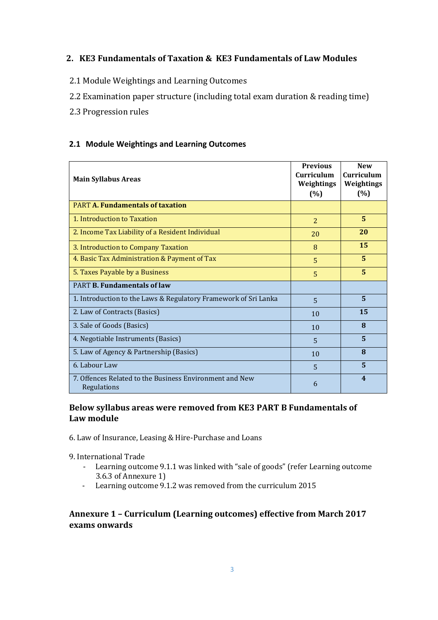### **2. KE3 Fundamentals of Taxation & KE3 Fundamentals of Law Modules**

- 2.1 Module Weightings and Learning Outcomes
- 2.2 Examination paper structure (including total exam duration & reading time)
- 2.3 Progression rules

### **2.1 Module Weightings and Learning Outcomes**

| <b>Main Syllabus Areas</b>                                             | <b>Previous</b><br>Curriculum<br>Weightings<br>(%) | <b>New</b><br>Curriculum<br>Weightings<br>(%) |
|------------------------------------------------------------------------|----------------------------------------------------|-----------------------------------------------|
| <b>PART A. Fundamentals of taxation</b>                                |                                                    |                                               |
| 1. Introduction to Taxation                                            | $\overline{2}$                                     | 5                                             |
| 2. Income Tax Liability of a Resident Individual                       | 20                                                 | 20                                            |
| 3. Introduction to Company Taxation                                    | 8                                                  | 15                                            |
| 4. Basic Tax Administration & Payment of Tax                           | $\overline{5}$                                     | 5                                             |
| 5. Taxes Payable by a Business                                         | $\overline{5}$                                     | 5                                             |
| <b>PART B. Fundamentals of law</b>                                     |                                                    |                                               |
| 1. Introduction to the Laws & Regulatory Framework of Sri Lanka        | 5                                                  | 5                                             |
| 2. Law of Contracts (Basics)                                           | 10                                                 | 15                                            |
| 3. Sale of Goods (Basics)                                              | 10                                                 | 8                                             |
| 4. Negotiable Instruments (Basics)                                     | 5                                                  | 5                                             |
| 5. Law of Agency & Partnership (Basics)                                | 10                                                 | 8                                             |
| 6. Labour Law                                                          | 5                                                  | 5                                             |
| 7. Offences Related to the Business Environment and New<br>Regulations | 6                                                  | $\overline{\mathbf{4}}$                       |

### **Below syllabus areas were removed from KE3 PART B Fundamentals of Law module**

- 6. Law of Insurance, Leasing & Hire-Purchase and Loans
- 9. International Trade
	- Learning outcome 9.1.1 was linked with "sale of goods" (refer Learning outcome 3.6.3 of Annexure 1)
	- Learning outcome 9.1.2 was removed from the curriculum 2015

### **Annexure 1 – Curriculum (Learning outcomes) effective from March 2017 exams onwards**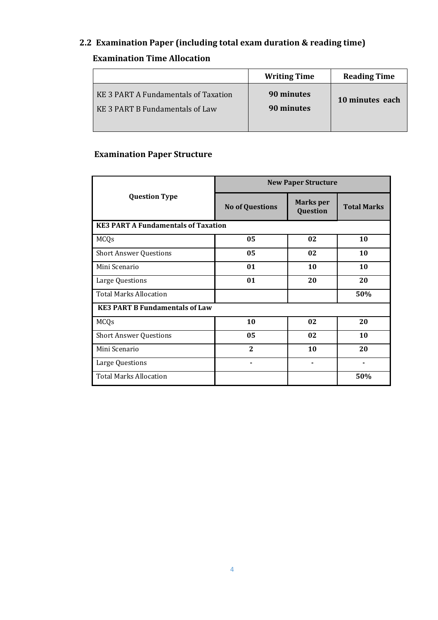# **2.2 Examination Paper (including total exam duration & reading time)**

# **Examination Time Allocation**

|                                                                                | <b>Writing Time</b>      | <b>Reading Time</b> |
|--------------------------------------------------------------------------------|--------------------------|---------------------|
| KE 3 PART A Fundamentals of Taxation<br><b>KE 3 PART B Fundamentals of Law</b> | 90 minutes<br>90 minutes | 10 minutes each     |

# **Examination Paper Structure**

|                                            | <b>New Paper Structure</b> |                              |                    |  |  |
|--------------------------------------------|----------------------------|------------------------------|--------------------|--|--|
| <b>Question Type</b>                       | <b>No of Questions</b>     | <b>Marks</b> per<br>Question | <b>Total Marks</b> |  |  |
| <b>KE3 PART A Fundamentals of Taxation</b> |                            |                              |                    |  |  |
| <b>MCQs</b>                                | 05                         | 02                           | 10                 |  |  |
| <b>Short Answer Questions</b>              | 05                         | 02                           | 10                 |  |  |
| Mini Scenario                              | 01                         | 10                           | 10                 |  |  |
| Large Questions                            | 01                         | 20                           | 20                 |  |  |
| <b>Total Marks Allocation</b>              |                            |                              | 50%                |  |  |
| <b>KE3 PART B Fundamentals of Law</b>      |                            |                              |                    |  |  |
| <b>MCQs</b>                                | 10                         | 02                           | 20                 |  |  |
| <b>Short Answer Questions</b>              | 05                         | 02                           | 10                 |  |  |
| Mini Scenario                              | 2                          | 10                           | 20                 |  |  |
| Large Questions                            |                            |                              |                    |  |  |
| <b>Total Marks Allocation</b>              |                            |                              | 50%                |  |  |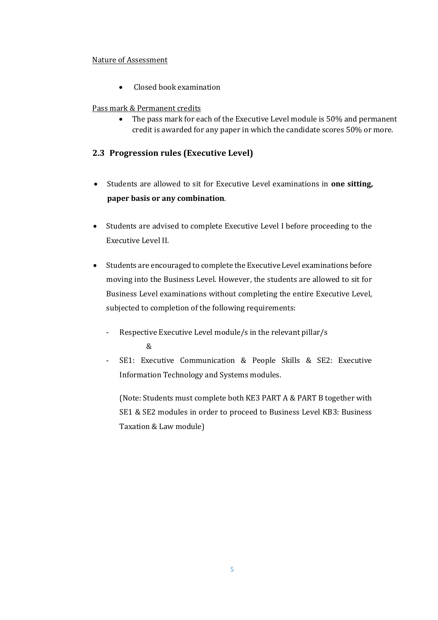### Nature of Assessment

• Closed book examination

### Pass mark & Permanent credits

• The pass mark for each of the Executive Level module is 50% and permanent credit is awarded for any paper in which the candidate scores 50% or more.

### **2.3 Progression rules (Executive Level)**

- Students are allowed to sit for Executive Level examinations in **one sitting, paper basis or any combination**.
- Students are advised to complete Executive Level I before proceeding to the Executive Level II.
- Students are encouraged to complete the Executive Level examinations before moving into the Business Level. However, the students are allowed to sit for Business Level examinations without completing the entire Executive Level, subjected to completion of the following requirements:
	- Respective Executive Level module/s in the relevant pillar/s &
	- SE1: Executive Communication & People Skills & SE2: Executive Information Technology and Systems modules.

(Note: Students must complete both KE3 PART A & PART B together with SE1 & SE2 modules in order to proceed to Business Level KB3: Business Taxation & Law module)